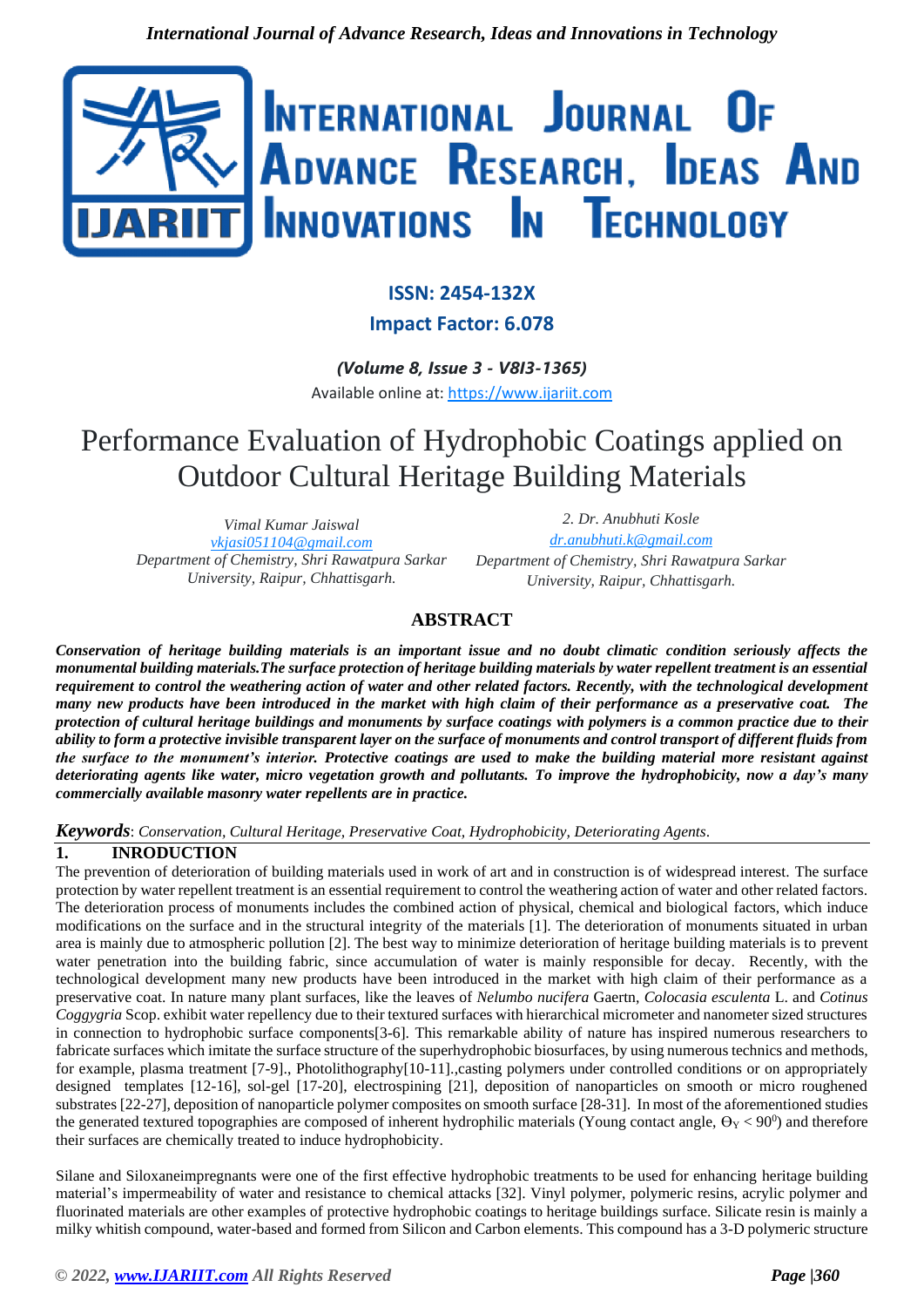

# **ISSN: 2454-132X**

# **Impact Factor: 6.078**

*(Volume 8, Issue 3 - V8I3-1365)* Available online at: [https://www.ijariit.com](https://www.ijariit.com/?utm_source=pdf&utm_medium=edition&utm_campaign=OmAkSols&utm_term=V8I3-1365)

# Performance Evaluation of Hydrophobic Coatings applied on Outdoor Cultural Heritage Building Materials

*Vimal Kumar Jaiswal [vkjasi051104@gmail.com](mailto:vkjasi051104@gmail.com) Department of Chemistry, Shri Rawatpura Sarkar University, Raipur, Chhattisgarh.*

*2. Dr. Anubhuti Kosle [dr.anubhuti.k@gmail.com](mailto:dr.anubhuti.k@gmail.com) Department of Chemistry, Shri Rawatpura Sarkar University, Raipur, Chhattisgarh.*

# **ABSTRACT**

*Conservation of heritage building materials is an important issue and no doubt climatic condition seriously affects the monumental building materials.The surface protection of heritage building materials by water repellent treatment is an essential requirement to control the weathering action of water and other related factors. Recently, with the technological development many new products have been introduced in the market with high claim of their performance as a preservative coat. The protection of cultural heritage buildings and monuments by surface coatings with polymers is a common practice due to their ability to form a protective invisible transparent layer on the surface of monuments and control transport of different fluids from the surface to the monument's interior. Protective coatings are used to make the building material more resistant against deteriorating agents like water, micro vegetation growth and pollutants. To improve the hydrophobicity, now a day's many commercially available masonry water repellents are in practice.*

*Keywords*: *Conservation, Cultural Heritage, Preservative Coat, Hydrophobicity, Deteriorating Agents*.

# **1. INRODUCTION**

The prevention of deterioration of building materials used in work of art and in construction is of widespread interest. The surface protection by water repellent treatment is an essential requirement to control the weathering action of water and other related factors. The deterioration process of monuments includes the combined action of physical, chemical and biological factors, which induce modifications on the surface and in the structural integrity of the materials [1]. The deterioration of monuments situated in urban area is mainly due to atmospheric pollution [2]. The best way to minimize deterioration of heritage building materials is to prevent water penetration into the building fabric, since accumulation of water is mainly responsible for decay. Recently, with the technological development many new products have been introduced in the market with high claim of their performance as a preservative coat. In nature many plant surfaces, like the leaves of *Nelumbo nucifera* Gaertn, *Colocasia esculenta* L. and *Cotinus Coggygria* Scop. exhibit water repellency due to their textured surfaces with hierarchical micrometer and nanometer sized structures in connection to hydrophobic surface components[3-6]. This remarkable ability of nature has inspired numerous researchers to fabricate surfaces which imitate the surface structure of the superhydrophobic biosurfaces, by using numerous technics and methods, for example, plasma treatment [7-9]., Photolithography[10-11].,casting polymers under controlled conditions or on appropriately designed templates [12-16], sol-gel [17-20], electrospining [21], deposition of nanoparticles on smooth or micro roughened substrates [22-27], deposition of nanoparticle polymer composites on smooth surface [28-31]. In most of the aforementioned studies the generated textured topographies are composed of inherent hydrophilic materials (Young contact angle,  $\Theta_Y < 90^\circ$ ) and therefore their surfaces are chemically treated to induce hydrophobicity.

Silane and Siloxaneimpregnants were one of the first effective hydrophobic treatments to be used for enhancing heritage building material's impermeability of water and resistance to chemical attacks [32]. Vinyl polymer, polymeric resins, acrylic polymer and fluorinated materials are other examples of protective hydrophobic coatings to heritage buildings surface. Silicate resin is mainly a milky whitish compound, water-based and formed from Silicon and Carbon elements. This compound has a 3-D polymeric structure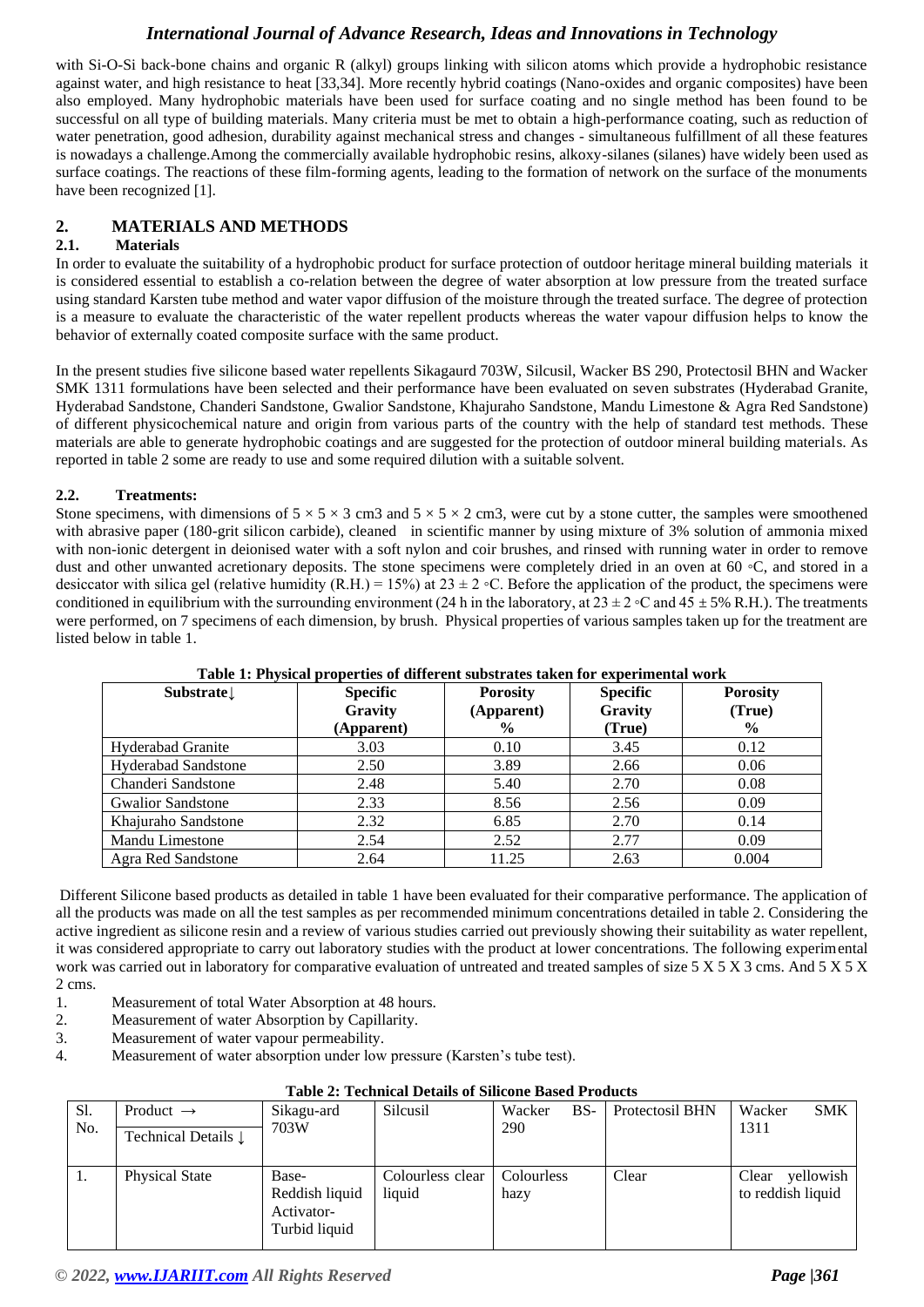with Si-O-Si back-bone chains and organic R (alkyl) groups linking with silicon atoms which provide a hydrophobic resistance against water, and high resistance to heat [33,34]. More recently hybrid coatings (Nano-oxides and organic composites) have been also employed. Many hydrophobic materials have been used for surface coating and no single method has been found to be successful on all type of building materials. Many criteria must be met to obtain a high-performance coating, such as reduction of water penetration, good adhesion, durability against mechanical stress and changes - simultaneous fulfillment of all these features is nowadays a challenge.Among the commercially available hydrophobic resins, alkoxy-silanes (silanes) have widely been used as surface coatings. The reactions of these film-forming agents, leading to the formation of network on the surface of the monuments have been recognized [1].

## **2. MATERIALS AND METHODS**

## **2.1. Materials**

In order to evaluate the suitability of a hydrophobic product for surface protection of outdoor heritage mineral building materials it is considered essential to establish a co-relation between the degree of water absorption at low pressure from the treated surface using standard Karsten tube method and water vapor diffusion of the moisture through the treated surface. The degree of protection is a measure to evaluate the characteristic of the water repellent products whereas the water vapour diffusion helps to know the behavior of externally coated composite surface with the same product.

In the present studies five silicone based water repellents Sikagaurd 703W, Silcusil, Wacker BS 290, Protectosil BHN and Wacker SMK 1311 formulations have been selected and their performance have been evaluated on seven substrates (Hyderabad Granite, Hyderabad Sandstone, Chanderi Sandstone, Gwalior Sandstone, Khajuraho Sandstone, Mandu Limestone & Agra Red Sandstone) of different physicochemical nature and origin from various parts of the country with the help of standard test methods. These materials are able to generate hydrophobic coatings and are suggested for the protection of outdoor mineral building materials. As reported in table 2 some are ready to use and some required dilution with a suitable solvent.

#### **2.2. Treatments:**

Stone specimens, with dimensions of  $5 \times 5 \times 3$  cm3 and  $5 \times 5 \times 2$  cm3, were cut by a stone cutter, the samples were smoothened with abrasive paper (180-grit silicon carbide), cleaned in scientific manner by using mixture of 3% solution of ammonia mixed with non-ionic detergent in deionised water with a soft nylon and coir brushes, and rinsed with running water in order to remove dust and other unwanted acretionary deposits. The stone specimens were completely dried in an oven at 60 ◦C, and stored in a desiccator with silica gel (relative humidity (R.H.) = 15%) at  $23 \pm 2$  °C. Before the application of the product, the specimens were conditioned in equilibrium with the surrounding environment (24 h in the laboratory, at  $23 \pm 2$  ∘C and  $45 \pm 5$ % R.H.). The treatments were performed, on 7 specimens of each dimension, by brush. Physical properties of various samples taken up for the treatment are listed below in table 1.

| Substrate                  | <b>Specific</b><br>Gravity<br>(Apparent) | <b>Porosity</b><br>(Apparent)<br>$\frac{6}{9}$ | <b>Specific</b><br>Gravity<br>(True) | <b>Porosity</b><br>(True)<br>$\%$ |
|----------------------------|------------------------------------------|------------------------------------------------|--------------------------------------|-----------------------------------|
| <b>Hyderabad Granite</b>   | 3.03                                     | 0.10                                           | 3.45                                 | 0.12                              |
| <b>Hyderabad Sandstone</b> | 2.50                                     | 3.89                                           | 2.66                                 | 0.06                              |
| Chanderi Sandstone         | 2.48                                     | 5.40                                           | 2.70                                 | 0.08                              |
| <b>Gwalior Sandstone</b>   | 2.33                                     | 8.56                                           | 2.56                                 | 0.09                              |
| Khajuraho Sandstone        | 2.32                                     | 6.85                                           | 2.70                                 | 0.14                              |
| Mandu Limestone            | 2.54                                     | 2.52                                           | 2.77                                 | 0.09                              |
| Agra Red Sandstone         | 2.64                                     | 11.25                                          | 2.63                                 | 0.004                             |

#### **Table 1: Physical properties of different substrates taken for experimental work**

Different Silicone based products as detailed in table 1 have been evaluated for their comparative performance. The application of all the products was made on all the test samples as per recommended minimum concentrations detailed in table 2. Considering the active ingredient as silicone resin and a review of various studies carried out previously showing their suitability as water repellent, it was considered appropriate to carry out laboratory studies with the product at lower concentrations. The following experimental work was carried out in laboratory for comparative evaluation of untreated and treated samples of size  $5 X 5 X 3$  cms. And  $5 X 5 X$ 2 cms.

- 1. Measurement of total Water Absorption at 48 hours.
- 2. Measurement of water Absorption by Capillarity.
- 3. Measurement of water vapour permeability.
- 4. Measurement of water absorption under low pressure (Karsten's tube test).

|     | Table 2: Technical Details of Silicone Based Products |                                                        |                            |                    |                 |                                         |  |  |  |
|-----|-------------------------------------------------------|--------------------------------------------------------|----------------------------|--------------------|-----------------|-----------------------------------------|--|--|--|
| Sl. | Product $\rightarrow$                                 | Sikagu-ard                                             | Silcusil                   | $BS-$<br>Wacker    | Protectosil BHN | Wacker<br><b>SMK</b>                    |  |  |  |
| No. | Technical Details $\downarrow$                        | 703W                                                   |                            | 290                |                 | 1311                                    |  |  |  |
|     | Physical State                                        | Base-<br>Reddish liquid<br>Activator-<br>Turbid liquid | Colourless clear<br>liquid | Colourless<br>hazy | Clear           | yellowish<br>Clear<br>to reddish liquid |  |  |  |

## **Table 2: Technical Details of Silicone Based Products**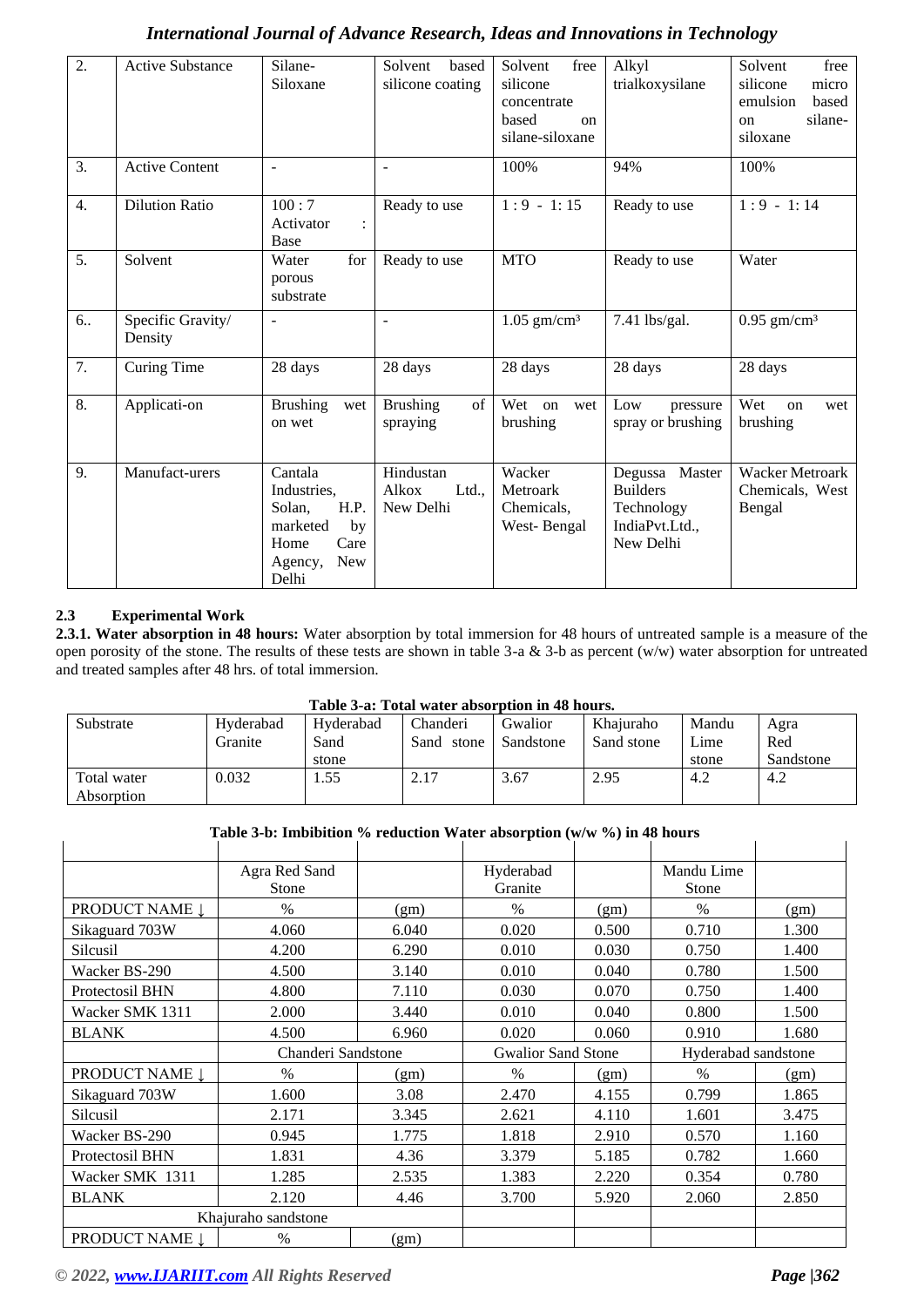| 2.               | <b>Active Substance</b>      | Silane-<br>Siloxane                                                                                   | Solvent<br>based<br>silicone coating     | Solvent<br>free<br>silicone<br>concentrate<br>based<br>$_{\rm on}$<br>silane-siloxane | Alkyl<br>trialkoxysilane                                                          | Solvent<br>free<br>silicone<br>micro<br>emulsion<br>based<br>silane-<br>on<br>siloxane |
|------------------|------------------------------|-------------------------------------------------------------------------------------------------------|------------------------------------------|---------------------------------------------------------------------------------------|-----------------------------------------------------------------------------------|----------------------------------------------------------------------------------------|
| 3.               | <b>Active Content</b>        | $\sim$                                                                                                | $\blacksquare$                           | 100%                                                                                  | 94%                                                                               | 100%                                                                                   |
| $\overline{4}$ . | <b>Dilution Ratio</b>        | 100:7<br>Activator<br>$\ddot{\cdot}$<br>Base                                                          | Ready to use                             | $1:9 - 1:15$                                                                          | Ready to use                                                                      | $1:9 - 1:14$                                                                           |
| 5.               | Solvent                      | for<br>Water<br>porous<br>substrate                                                                   | Ready to use                             | <b>MTO</b>                                                                            | Ready to use                                                                      | Water                                                                                  |
| 6                | Specific Gravity/<br>Density | $\overline{\phantom{a}}$                                                                              | $\overline{\phantom{a}}$                 | $1.05$ gm/cm <sup>3</sup>                                                             | 7.41 lbs/gal.                                                                     | $0.95$ gm/cm <sup>3</sup>                                                              |
| 7.               | Curing Time                  | 28 days                                                                                               | 28 days                                  | 28 days                                                                               | 28 days                                                                           | 28 days                                                                                |
| 8.               | Applicati-on                 | <b>Brushing</b><br>wet<br>on wet                                                                      | <b>Brushing</b><br>of<br>spraying        | Wet on<br>wet<br>brushing                                                             | Low<br>pressure<br>spray or brushing                                              | Wet<br>on<br>wet<br>brushing                                                           |
| 9.               | Manufact-urers               | Cantala<br>Industries,<br>H.P.<br>Solan,<br>marketed<br>by<br>Care<br>Home<br>New<br>Agency,<br>Delhi | Hindustan<br>Alkox<br>Ltd.,<br>New Delhi | Wacker<br>Metroark<br>Chemicals,<br>West-Bengal                                       | Master<br>Degussa<br><b>Builders</b><br>Technology<br>IndiaPvt.Ltd.,<br>New Delhi | Wacker Metroark<br>Chemicals, West<br>Bengal                                           |

## **2.3 Experimental Work**

**2.3.1. Water absorption in 48 hours:** Water absorption by total immersion for 48 hours of untreated sample is a measure of the open porosity of the stone. The results of these tests are shown in table 3-a & 3-b as percent  $(w/w)$  water absorption for untreated and treated samples after 48 hrs. of total immersion.

|  | Table 3-a: Total water absorption in 48 hours. |  |  |
|--|------------------------------------------------|--|--|
|  |                                                |  |  |

| Substrate   | Hyderabad | Hyderabad | Chanderi      | Gwalior   | Khaiuraho  | Mandu | Agra      |  |
|-------------|-----------|-----------|---------------|-----------|------------|-------|-----------|--|
|             | Granite   | Sand      | Sand<br>stone | Sandstone | Sand stone | Lime  | Red       |  |
|             |           | stone     |               |           |            | stone | Sandstone |  |
| Total water | 0.032     | 1.55      | 2.17          | 3.67      | 2.95       | 4.2   | 4.2       |  |
| Absorption  |           |           |               |           |            |       |           |  |

#### **Table 3-b: Imbibition % reduction Water absorption (w/w %) in 48 hours**

|                 | Agra Red Sand<br>Stone |       | Hyderabad<br>Granite      |       | Mandu Lime<br>Stone |       |
|-----------------|------------------------|-------|---------------------------|-------|---------------------|-------|
| PRODUCT NAME Į  | $\frac{0}{0}$          | (gm)  | $\frac{0}{0}$             | (gm)  | $\%$                | (gm)  |
| Sikaguard 703W  | 4.060                  | 6.040 | 0.020                     | 0.500 | 0.710               | 1.300 |
| Silcusil        | 4.200                  | 6.290 | 0.010                     | 0.030 | 0.750               | 1.400 |
| Wacker BS-290   | 4.500                  | 3.140 | 0.010                     | 0.040 | 0.780               | 1.500 |
| Protectosil BHN | 4.800                  | 7.110 | 0.030                     | 0.070 | 0.750               | 1.400 |
| Wacker SMK 1311 | 2.000                  | 3.440 | 0.010                     | 0.040 | 0.800               | 1.500 |
| <b>BLANK</b>    | 4.500                  | 6.960 | 0.020                     | 0.060 | 0.910               | 1.680 |
|                 | Chanderi Sandstone     |       | <b>Gwalior Sand Stone</b> |       | Hyderabad sandstone |       |
| PRODUCT NAME Į  | $\frac{0}{0}$          | (gm)  | $\frac{0}{0}$             | (gm)  | $\%$                | (gm)  |
|                 |                        |       |                           |       |                     |       |
| Sikaguard 703W  | 1.600                  | 3.08  | 2.470                     | 4.155 | 0.799               | 1.865 |
| Silcusil        | 2.171                  | 3.345 | 2.621                     | 4.110 | 1.601               | 3.475 |
| Wacker BS-290   | 0.945                  | 1.775 | 1.818                     | 2.910 | 0.570               | 1.160 |
| Protectosil BHN | 1.831                  | 4.36  | 3.379                     | 5.185 | 0.782               | 1.660 |
| Wacker SMK 1311 | 1.285                  | 2.535 | 1.383                     | 2.220 | 0.354               | 0.780 |
| <b>BLANK</b>    | 2.120                  | 4.46  | 3.700                     | 5.920 | 2.060               | 2.850 |
|                 | Khajuraho sandstone    |       |                           |       |                     |       |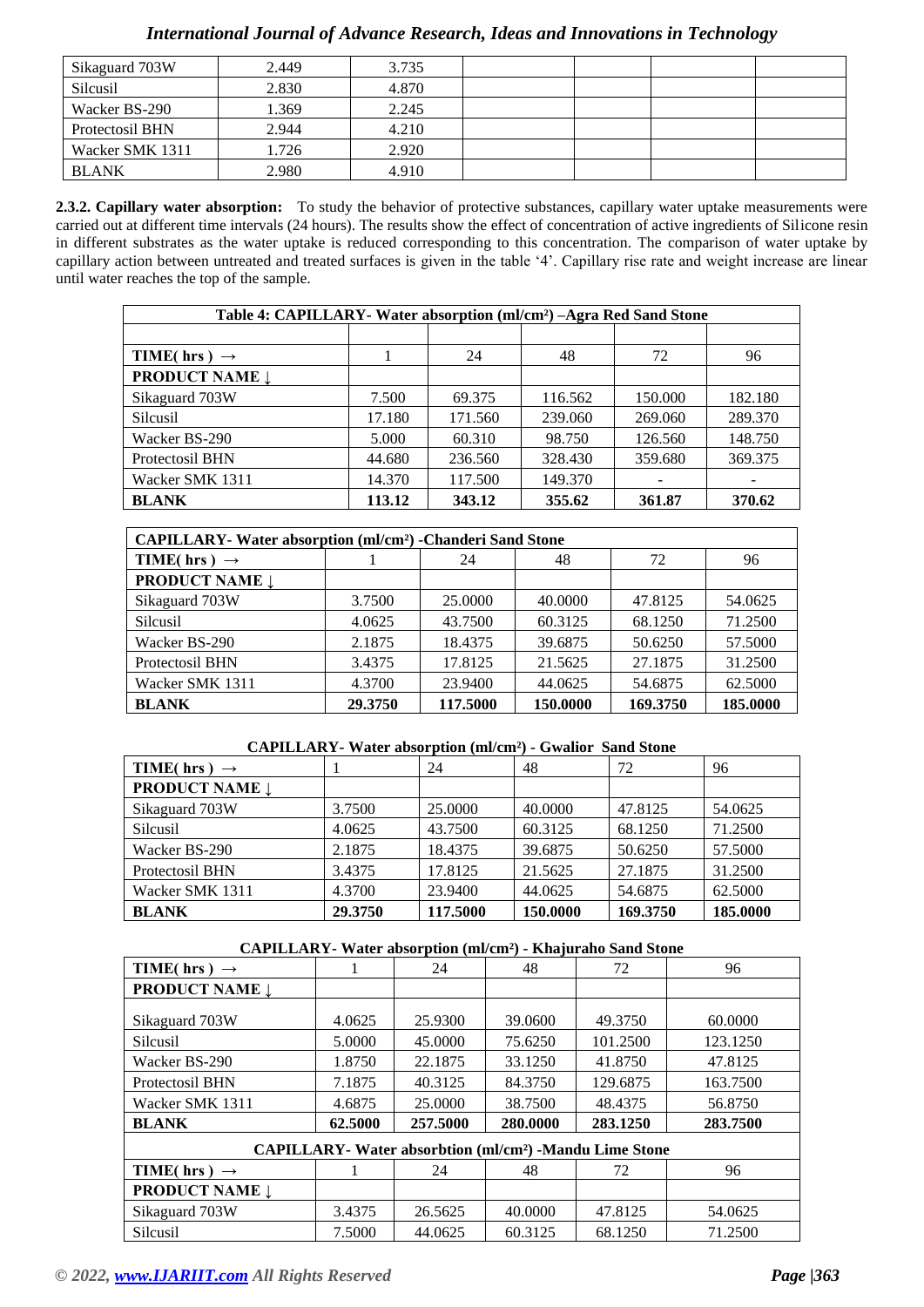## Sikaguard 703W 2.449 2.45 Silcusil 2.830 4.870 Wacker BS-290 1.369 2.245 Protectosil BHN 2.944 2.945 Wacker SMK 1311 1.726 2.920 BLANK 2.980 4.910

## *International Journal of Advance Research, Ideas and Innovations in Technology*

**2.3.2. Capillary water absorption:** To study the behavior of protective substances, capillary water uptake measurements were carried out at different time intervals (24 hours). The results show the effect of concentration of active ingredients of Silicone resin in different substrates as the water uptake is reduced corresponding to this concentration. The comparison of water uptake by capillary action between untreated and treated surfaces is given in the table '4'. Capillary rise rate and weight increase are linear until water reaches the top of the sample.

| Table 4: CAPILLARY - Water absorption (ml/cm <sup>2</sup> ) -Agra Red Sand Stone |        |         |         |         |         |  |  |
|----------------------------------------------------------------------------------|--------|---------|---------|---------|---------|--|--|
|                                                                                  |        |         |         |         |         |  |  |
| TIME(hrs) $\rightarrow$                                                          |        | 24      | 48      | 72      | 96      |  |  |
| <b>PRODUCT NAME 1</b>                                                            |        |         |         |         |         |  |  |
| Sikaguard 703W                                                                   | 7.500  | 69.375  | 116.562 | 150.000 | 182.180 |  |  |
| Silcusil                                                                         | 17.180 | 171.560 | 239.060 | 269.060 | 289.370 |  |  |
| Wacker BS-290                                                                    | 5.000  | 60.310  | 98.750  | 126.560 | 148.750 |  |  |
| Protectosil BHN                                                                  | 44.680 | 236.560 | 328.430 | 359.680 | 369.375 |  |  |
| Wacker SMK 1311                                                                  | 14.370 | 117.500 | 149.370 |         |         |  |  |
| <b>BLANK</b>                                                                     | 113.12 | 343.12  | 355.62  | 361.87  | 370.62  |  |  |

| <b>CAPILLARY</b> -Water absorption (ml/cm <sup>2</sup> ) -Chanderi Sand Stone |                      |          |          |          |          |  |  |
|-------------------------------------------------------------------------------|----------------------|----------|----------|----------|----------|--|--|
| TIME(hrs) $\rightarrow$                                                       | 48<br>72<br>96<br>24 |          |          |          |          |  |  |
| <b>PRODUCT NAME 1</b>                                                         |                      |          |          |          |          |  |  |
| Sikaguard 703W                                                                | 3.7500               | 25,0000  | 40.0000  | 47.8125  | 54.0625  |  |  |
| Silcusil                                                                      | 4.0625               | 43.7500  | 60.3125  | 68.1250  | 71.2500  |  |  |
| Wacker BS-290                                                                 | 2.1875               | 18.4375  | 39.6875  | 50.6250  | 57.5000  |  |  |
| Protectosil BHN                                                               | 3.4375               | 17.8125  | 21.5625  | 27.1875  | 31.2500  |  |  |
| Wacker SMK 1311                                                               | 4.3700               | 23.9400  | 44.0625  | 54.6875  | 62.5000  |  |  |
| <b>BLANK</b>                                                                  | 29.3750              | 117.5000 | 150.0000 | 169.3750 | 185.0000 |  |  |

#### **CAPILLARY- Water absorption (ml/cm²) - Gwalior Sand Stone**

| TIME( hrs ) $\rightarrow$ |         | 24       | 48       | 72       | 96       |
|---------------------------|---------|----------|----------|----------|----------|
| <b>PRODUCT NAME 1</b>     |         |          |          |          |          |
| Sikaguard 703W            | 3.7500  | 25,0000  | 40.0000  | 47.8125  | 54.0625  |
| Silcusil                  | 4.0625  | 43.7500  | 60.3125  | 68.1250  | 71.2500  |
| Wacker BS-290             | 2.1875  | 18.4375  | 39.6875  | 50.6250  | 57.5000  |
| Protectosil BHN           | 3.4375  | 17.8125  | 21.5625  | 27.1875  | 31.2500  |
| Wacker SMK 1311           | 4.3700  | 23.9400  | 44.0625  | 54.6875  | 62.5000  |
| <b>BLANK</b>              | 29.3750 | 117.5000 | 150.0000 | 169.3750 | 185.0000 |

#### **CAPILLARY- Water absorption (ml/cm²) - Khajuraho Sand Stone**

| $\cdots$ $\cdots$                                                        |         |          |          |          |          |  |  |  |  |
|--------------------------------------------------------------------------|---------|----------|----------|----------|----------|--|--|--|--|
| TIME(hrs) $\rightarrow$                                                  |         | 24       | 48       | 72       | 96       |  |  |  |  |
| <b>PRODUCT NAME 1</b>                                                    |         |          |          |          |          |  |  |  |  |
|                                                                          |         |          |          |          |          |  |  |  |  |
| Sikaguard 703W                                                           | 4.0625  | 25.9300  | 39.0600  | 49.3750  | 60.0000  |  |  |  |  |
| Silcusil                                                                 | 5.0000  | 45.0000  | 75.6250  | 101.2500 | 123.1250 |  |  |  |  |
| Wacker BS-290                                                            | 1.8750  | 22.1875  | 33.1250  | 41.8750  | 47.8125  |  |  |  |  |
| Protectosil BHN                                                          | 7.1875  | 40.3125  | 84.3750  | 129.6875 | 163.7500 |  |  |  |  |
| Wacker SMK 1311                                                          | 4.6875  | 25,0000  | 38.7500  | 48.4375  | 56.8750  |  |  |  |  |
| <b>BLANK</b>                                                             | 62.5000 | 257.5000 | 280.0000 | 283.1250 | 283.7500 |  |  |  |  |
| <b>CAPILLARY- Water absorbtion (ml/cm<sup>2</sup>) -Mandu Lime Stone</b> |         |          |          |          |          |  |  |  |  |
| TIME(hrs) $\rightarrow$                                                  |         | 24       | 48       | 72       | 96       |  |  |  |  |
| <b>PRODUCT NAME Į</b>                                                    |         |          |          |          |          |  |  |  |  |
| Sikaguard 703W                                                           | 3.4375  | 26.5625  | 40.0000  | 47.8125  | 54.0625  |  |  |  |  |
| Silcusil                                                                 | 7.5000  | 44.0625  | 60.3125  | 68.1250  | 71.2500  |  |  |  |  |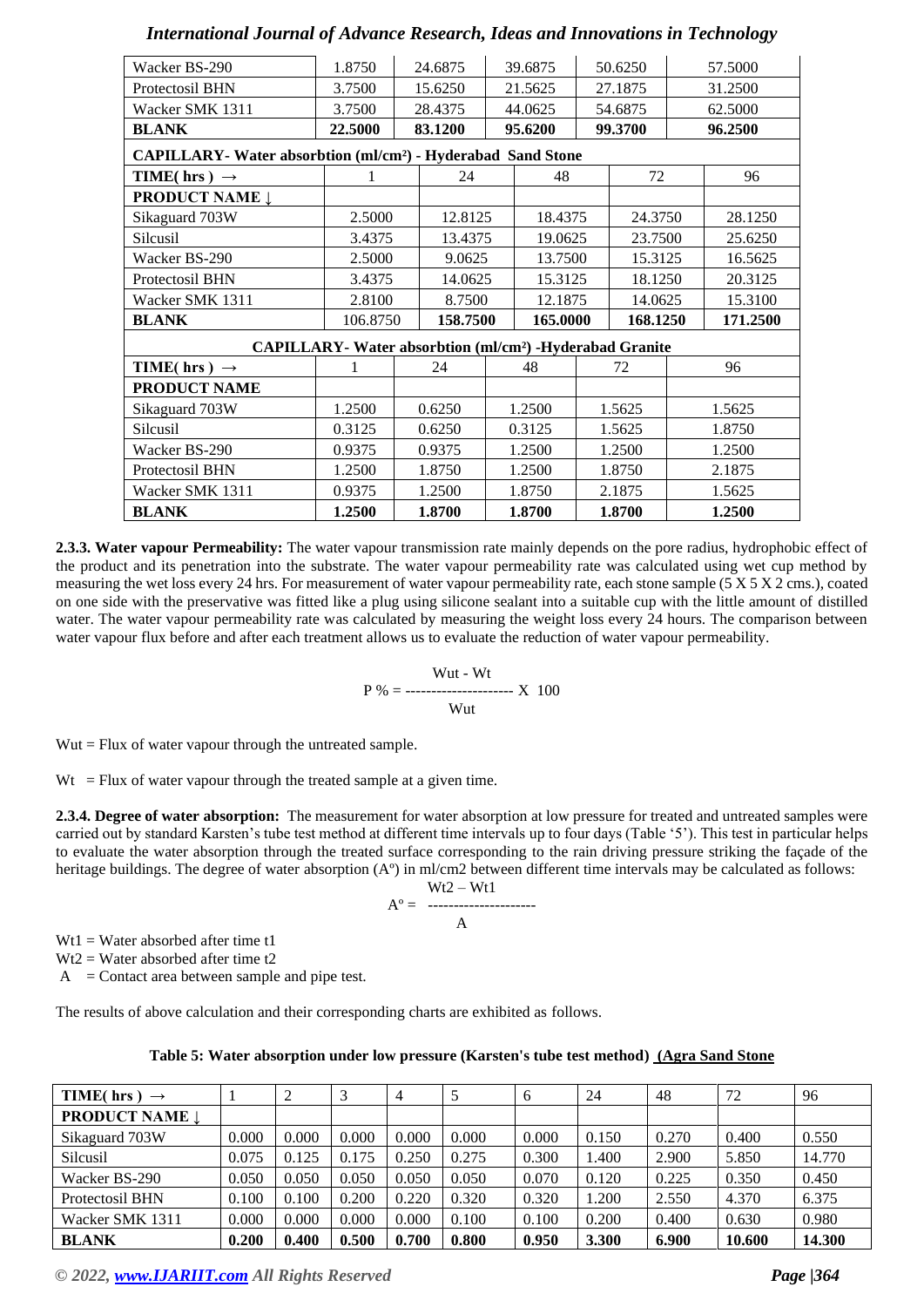| 1.8750  | 24.6875 |          |                                                               |                                                                                                      |                                                                                                                       |                                                                                                      | 57.5000                                                                                                              |
|---------|---------|----------|---------------------------------------------------------------|------------------------------------------------------------------------------------------------------|-----------------------------------------------------------------------------------------------------------------------|------------------------------------------------------------------------------------------------------|----------------------------------------------------------------------------------------------------------------------|
| 3.7500  | 15.6250 |          |                                                               |                                                                                                      |                                                                                                                       |                                                                                                      | 31.2500                                                                                                              |
| 3.7500  | 28.4375 |          |                                                               |                                                                                                      |                                                                                                                       |                                                                                                      | 62.5000                                                                                                              |
| 22.5000 | 83.1200 |          |                                                               |                                                                                                      |                                                                                                                       |                                                                                                      | 96.2500                                                                                                              |
|         |         |          |                                                               |                                                                                                      |                                                                                                                       |                                                                                                      |                                                                                                                      |
|         | 24      |          | 48                                                            |                                                                                                      |                                                                                                                       |                                                                                                      | 96                                                                                                                   |
|         |         |          |                                                               |                                                                                                      |                                                                                                                       |                                                                                                      |                                                                                                                      |
| 2.5000  |         |          |                                                               |                                                                                                      |                                                                                                                       |                                                                                                      | 28.1250                                                                                                              |
| 3.4375  |         |          |                                                               |                                                                                                      |                                                                                                                       |                                                                                                      | 25.6250                                                                                                              |
| 2.5000  |         |          | 13.7500                                                       |                                                                                                      | 15.3125                                                                                                               |                                                                                                      | 16.5625                                                                                                              |
| 3.4375  |         |          | 15.3125                                                       |                                                                                                      | 18.1250                                                                                                               |                                                                                                      | 20.3125                                                                                                              |
| 2.8100  |         |          |                                                               |                                                                                                      | 14.0625                                                                                                               |                                                                                                      | 15.3100                                                                                                              |
|         |         |          |                                                               |                                                                                                      |                                                                                                                       |                                                                                                      | 171.2500                                                                                                             |
|         |         |          |                                                               |                                                                                                      |                                                                                                                       |                                                                                                      |                                                                                                                      |
|         | 24      |          | 48                                                            |                                                                                                      | 72                                                                                                                    |                                                                                                      | 96                                                                                                                   |
|         |         |          |                                                               |                                                                                                      |                                                                                                                       |                                                                                                      |                                                                                                                      |
| 1.2500  | 0.6250  |          |                                                               |                                                                                                      |                                                                                                                       |                                                                                                      | 1.5625                                                                                                               |
| 0.3125  | 0.6250  |          |                                                               |                                                                                                      |                                                                                                                       |                                                                                                      | 1.8750                                                                                                               |
| 0.9375  | 0.9375  |          |                                                               |                                                                                                      |                                                                                                                       |                                                                                                      | 1.2500                                                                                                               |
| 1.2500  | 1.8750  |          |                                                               |                                                                                                      |                                                                                                                       |                                                                                                      | 2.1875                                                                                                               |
| 0.9375  | 1.2500  |          |                                                               |                                                                                                      |                                                                                                                       |                                                                                                      | 1.5625                                                                                                               |
| 1.2500  | 1.8700  |          |                                                               |                                                                                                      |                                                                                                                       |                                                                                                      | 1.2500                                                                                                               |
|         |         | 106.8750 | 12.8125<br>13.4375<br>9.0625<br>14.0625<br>8.7500<br>158.7500 | 39.6875<br>21.5625<br>44.0625<br>95.6200<br>1.2500<br>0.3125<br>1.2500<br>1.2500<br>1.8750<br>1.8700 | CAPILLARY- Water absorbtion (ml/cm <sup>2</sup> ) - Hyderabad Sand Stone<br>18.4375<br>19.0625<br>12.1875<br>165.0000 | 50.6250<br>27.1875<br>54.6875<br>99.3700<br>1.5625<br>1.5625<br>1.2500<br>1.8750<br>2.1875<br>1.8700 | 72<br>24.3750<br>23.7500<br>168.1250<br><b>CAPILLARY</b> - Water absorbtion (ml/cm <sup>2</sup> ) -Hyderabad Granite |

**2.3.3. Water vapour Permeability:** The water vapour transmission rate mainly depends on the pore radius, hydrophobic effect of the product and its penetration into the substrate. The water vapour permeability rate was calculated using wet cup method by measuring the wet loss every 24 hrs. For measurement of water vapour permeability rate, each stone sample (5 X 5 X 2 cms.), coated on one side with the preservative was fitted like a plug using silicone sealant into a suitable cup with the little amount of distilled water. The water vapour permeability rate was calculated by measuring the weight loss every 24 hours. The comparison between water vapour flux before and after each treatment allows us to evaluate the reduction of water vapour permeability.

> Wut - Wt  $P$  % = ----------------------- X 100 Wut

Wut = Flux of water vapour through the untreated sample.

 $Wt$  = Flux of water vapour through the treated sample at a given time.

**2.3.4. Degree of water absorption:** The measurement for water absorption at low pressure for treated and untreated samples were carried out by standard Karsten's tube test method at different time intervals up to four days (Table '5'). This test in particular helps to evaluate the water absorption through the treated surface corresponding to the rain driving pressure striking the façade of the heritage buildings. The degree of water absorption (A°) in ml/cm2 between different time intervals may be calculated as follows:

$$
Ao = \frac{Wt2 - Wt1}{A}
$$

Wt1 = Water absorbed after time t1

Wt2 = Water absorbed after time t2

 $A =$ Contact area between sample and pipe test.

The results of above calculation and their corresponding charts are exhibited as follows.

|  |  |  |  |  |  | Table 5: Water absorption under low pressure (Karsten's tube test method) (Agra Sand Stone |
|--|--|--|--|--|--|--------------------------------------------------------------------------------------------|
|--|--|--|--|--|--|--------------------------------------------------------------------------------------------|

| TIME(hrs)<br>$\rightarrow$ |       | ി     | 3     | $\overline{4}$ |       | 6     | 24    | 48    | 72     | 96     |
|----------------------------|-------|-------|-------|----------------|-------|-------|-------|-------|--------|--------|
| <b>PRODUCT NAME 1</b>      |       |       |       |                |       |       |       |       |        |        |
| Sikaguard 703W             | 0.000 | 0.000 | 0.000 | 0.000          | 0.000 | 0.000 | 0.150 | 0.270 | 0.400  | 0.550  |
| Silcusil                   | 0.075 | 0.125 | 0.175 | 0.250          | 0.275 | 0.300 | 1.400 | 2.900 | 5.850  | 14.770 |
| Wacker BS-290              | 0.050 | 0.050 | 0.050 | 0.050          | 0.050 | 0.070 | 0.120 | 0.225 | 0.350  | 0.450  |
| Protectosil BHN            | 0.100 | 0.100 | 0.200 | 0.220          | 0.320 | 0.320 | 1.200 | 2.550 | 4.370  | 6.375  |
| Wacker SMK 1311            | 0.000 | 0.000 | 0.000 | 0.000          | 0.100 | 0.100 | 0.200 | 0.400 | 0.630  | 0.980  |
| <b>BLANK</b>               | 0.200 | 0.400 | 0.500 | 0.700          | 0.800 | 0.950 | 3.300 | 6.900 | 10.600 | 14.300 |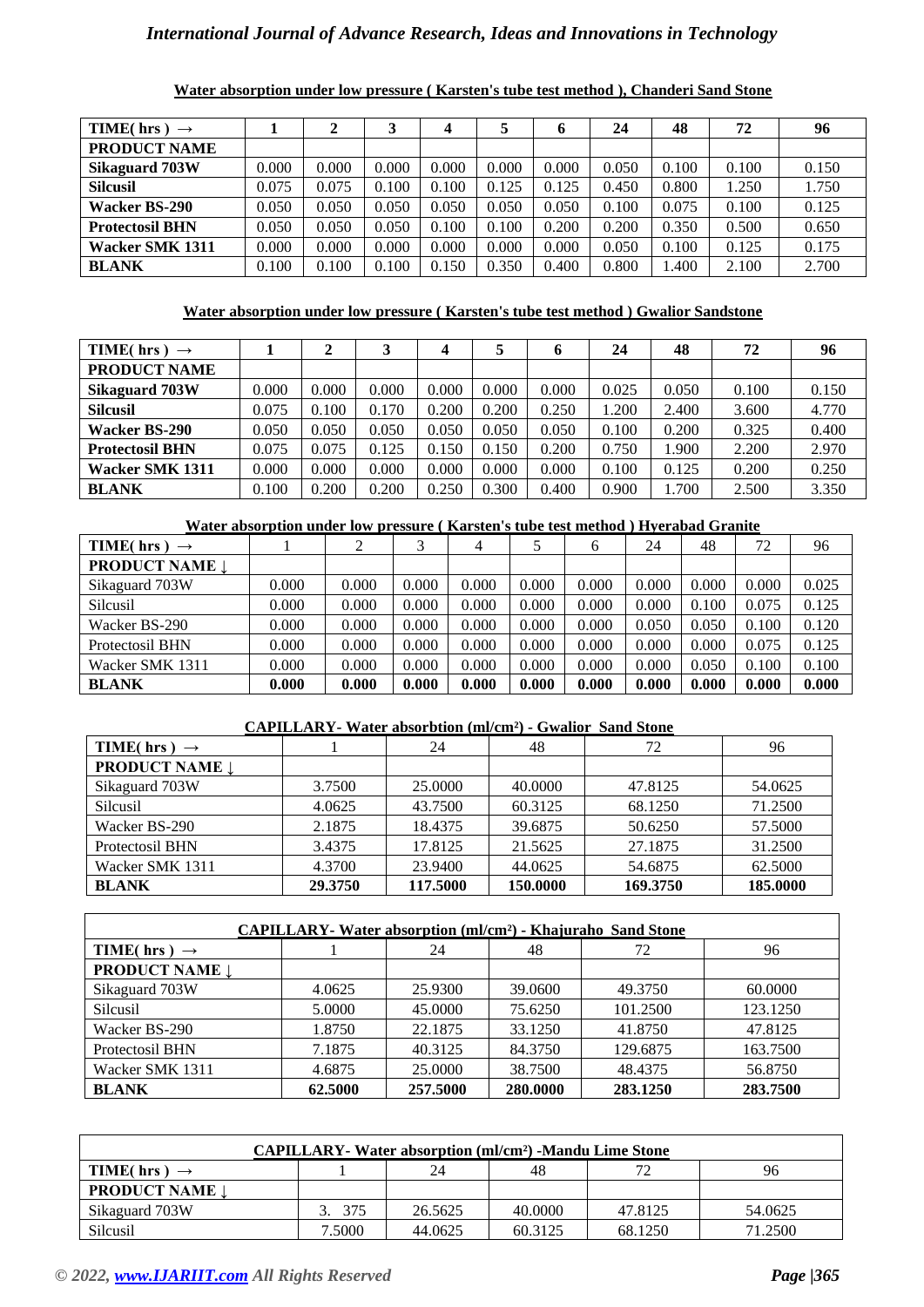| <b>TIME</b> (hrs)<br>$\rightarrow$ |       | ∍     | 3     | 4     | 5     | 6     | 24    | 48    | 72    | 96    |
|------------------------------------|-------|-------|-------|-------|-------|-------|-------|-------|-------|-------|
| <b>PRODUCT NAME</b>                |       |       |       |       |       |       |       |       |       |       |
| Sikaguard 703W                     | 0.000 | 0.000 | 0.000 | 0.000 | 0.000 | 0.000 | 0.050 | 0.100 | 0.100 | 0.150 |
| <b>Silcusil</b>                    | 0.075 | 0.075 | 0.100 | 0.100 | 0.125 | 0.125 | 0.450 | 0.800 | 1.250 | 1.750 |
| Wacker BS-290                      | 0.050 | 0.050 | 0.050 | 0.050 | 0.050 | 0.050 | 0.100 | 0.075 | 0.100 | 0.125 |
| <b>Protectosil BHN</b>             | 0.050 | 0.050 | 0.050 | 0.100 | 0.100 | 0.200 | 0.200 | 0.350 | 0.500 | 0.650 |
| Wacker SMK 1311                    | 0.000 | 0.000 | 0.000 | 0.000 | 0.000 | 0.000 | 0.050 | 0.100 | 0.125 | 0.175 |
| <b>BLANK</b>                       | 0.100 | 0.100 | 0.100 | 0.150 | 0.350 | 0.400 | 0.800 | .400  | 2.100 | 2.700 |

**Water absorption under low pressure ( Karsten's tube test method ), Chanderi Sand Stone**

#### **Water absorption under low pressure ( Karsten's tube test method ) Gwalior Sandstone**

| TIME(hrs)<br>$\rightarrow$ |       |       |       | 4     |       | o     | 24    | 48    | 72    | 96    |
|----------------------------|-------|-------|-------|-------|-------|-------|-------|-------|-------|-------|
| <b>PRODUCT NAME</b>        |       |       |       |       |       |       |       |       |       |       |
| Sikaguard 703W             | 0.000 | 0.000 | 0.000 | 0.000 | 0.000 | 0.000 | 0.025 | 0.050 | 0.100 | 0.150 |
| <b>Silcusil</b>            | 0.075 | 0.100 | 0.170 | 0.200 | 0.200 | 0.250 | 1.200 | 2.400 | 3.600 | 4.770 |
| <b>Wacker BS-290</b>       | 0.050 | 0.050 | 0.050 | 0.050 | 0.050 | 0.050 | 0.100 | 0.200 | 0.325 | 0.400 |
| <b>Protectosil BHN</b>     | 0.075 | 0.075 | 0.125 | 0.150 | 0.150 | 0.200 | 0.750 | 1.900 | 2.200 | 2.970 |
| Wacker SMK 1311            | 0.000 | 0.000 | 0.000 | 0.000 | 0.000 | 0.000 | 0.100 | 0.125 | 0.200 | 0.250 |
| <b>BLANK</b>               | 0.100 | 0.200 | 0.200 | 0.250 | 0.300 | 0.400 | 0.900 | 1.700 | 2.500 | 3.350 |

#### **Water absorption under low pressure ( Karsten's tube test method ) Hyerabad Granite**

| TIME(hrs)<br>$\rightarrow$ |       |       | 2     | 4     |       | 6     | 24    | 48    | 72    | 96    |
|----------------------------|-------|-------|-------|-------|-------|-------|-------|-------|-------|-------|
| <b>PRODUCT NAME 1</b>      |       |       |       |       |       |       |       |       |       |       |
| Sikaguard 703W             | 0.000 | 0.000 | 0.000 | 0.000 | 0.000 | 0.000 | 0.000 | 0.000 | 0.000 | 0.025 |
| Silcusil                   | 0.000 | 0.000 | 0.000 | 0.000 | 0.000 | 0.000 | 0.000 | 0.100 | 0.075 | 0.125 |
| Wacker BS-290              | 0.000 | 0.000 | 0.000 | 0.000 | 0.000 | 0.000 | 0.050 | 0.050 | 0.100 | 0.120 |
| Protectosil BHN            | 0.000 | 0.000 | 0.000 | 0.000 | 0.000 | 0.000 | 0.000 | 0.000 | 0.075 | 0.125 |
| Wacker SMK 1311            | 0.000 | 0.000 | 0.000 | 0.000 | 0.000 | 0.000 | 0.000 | 0.050 | 0.100 | 0.100 |
| <b>BLANK</b>               | 0.000 | 0.000 | 0.000 | 0.000 | 0.000 | 0.000 | 0.000 | 0.000 | 0.000 | 0.000 |

#### **CAPILLARY- Water absorbtion (ml/cm²) - Gwalior Sand Stone**

| TIME(hrs) $\rightarrow$ |         | 24       | 48       | 72       | 96       |
|-------------------------|---------|----------|----------|----------|----------|
| <b>PRODUCT NAME 1</b>   |         |          |          |          |          |
| Sikaguard 703W          | 3.7500  | 25,0000  | 40,0000  | 47.8125  | 54.0625  |
| Silcusil                | 4.0625  | 43.7500  | 60.3125  | 68.1250  | 71.2500  |
| Wacker BS-290           | 2.1875  | 18.4375  | 39.6875  | 50.6250  | 57.5000  |
| Protectosil BHN         | 3.4375  | 17.8125  | 21.5625  | 27.1875  | 31.2500  |
| Wacker SMK 1311         | 4.3700  | 23.9400  | 44.0625  | 54.6875  | 62.5000  |
| <b>BLANK</b>            | 29.3750 | 117.5000 | 150.0000 | 169.3750 | 185.0000 |

| <b>CAPILLARY</b> - Water absorption (ml/cm <sup>2</sup> ) - Khajuraho Sand Stone |         |          |          |          |          |  |  |  |  |  |  |
|----------------------------------------------------------------------------------|---------|----------|----------|----------|----------|--|--|--|--|--|--|
| TIME(hrs) $\rightarrow$                                                          |         | 24       | 48       | 72       | 96       |  |  |  |  |  |  |
| <b>PRODUCT NAME 1</b>                                                            |         |          |          |          |          |  |  |  |  |  |  |
| Sikaguard 703W                                                                   | 4.0625  | 25.9300  | 39.0600  | 49.3750  | 60.0000  |  |  |  |  |  |  |
| Silcusil                                                                         | 5.0000  | 45,0000  | 75.6250  | 101.2500 | 123.1250 |  |  |  |  |  |  |
| Wacker BS-290                                                                    | 1.8750  | 22.1875  | 33.1250  | 41.8750  | 47.8125  |  |  |  |  |  |  |
| Protectosil BHN                                                                  | 7.1875  | 40.3125  | 84.3750  | 129.6875 | 163.7500 |  |  |  |  |  |  |
| Wacker SMK 1311                                                                  | 4.6875  | 25,0000  | 38.7500  | 48.4375  | 56.8750  |  |  |  |  |  |  |
| <b>BLANK</b>                                                                     | 62.5000 | 257.5000 | 280.0000 | 283.1250 | 283.7500 |  |  |  |  |  |  |

| <b>CAPILLARY</b> - Water absorption (ml/cm <sup>2</sup> ) -Mandu Lime Stone |        |         |         |              |         |  |  |  |  |  |  |
|-----------------------------------------------------------------------------|--------|---------|---------|--------------|---------|--|--|--|--|--|--|
| TIME(hrs) $\rightarrow$                                                     |        | 24      | 48      | $72^{\circ}$ | 96      |  |  |  |  |  |  |
| <b>PRODUCT NAME</b>                                                         |        |         |         |              |         |  |  |  |  |  |  |
| Sikaguard 703W                                                              | 375    | 26.5625 | 40.0000 | 47.8125      | 54.0625 |  |  |  |  |  |  |
| Silcusil                                                                    | 7.5000 | 44.0625 | 60.3125 | 68.1250      | 71.2500 |  |  |  |  |  |  |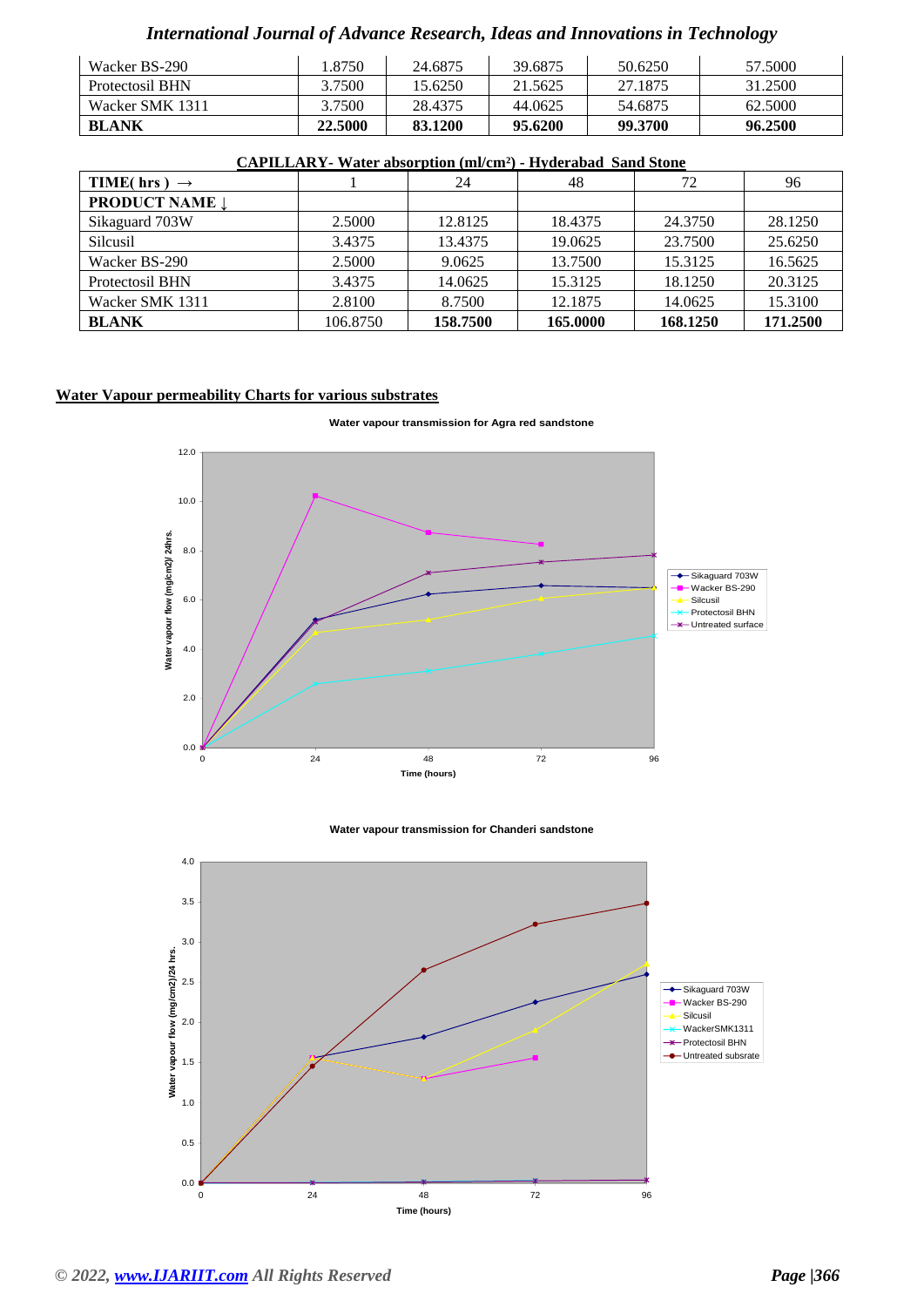| Wacker BS-290   | .8750   | 24.6875 | 39.6875 | 50.6250 | 57.5000 |
|-----------------|---------|---------|---------|---------|---------|
| Protectosil BHN | 3.7500  | 15.6250 | 21.5625 | 27.1875 | 31.2500 |
| Wacker SMK 1311 | 3.7500  | 28.4375 | 44.0625 | 54.6875 | 62.5000 |
| <b>BLANK</b>    | 22.5000 | 83.1200 | 95.6200 | 99.3700 | 96.2500 |

|          | 24       | 48       | 72       | 96       |
|----------|----------|----------|----------|----------|
|          |          |          |          |          |
| 2.5000   | 12.8125  | 18.4375  | 24.3750  | 28.1250  |
| 3.4375   | 13.4375  | 19.0625  | 23.7500  | 25.6250  |
| 2.5000   | 9.0625   | 13.7500  | 15.3125  | 16.5625  |
| 3.4375   | 14.0625  | 15.3125  | 18.1250  | 20.3125  |
| 2.8100   | 8.7500   | 12.1875  | 14.0625  | 15.3100  |
| 106.8750 | 158.7500 | 165.0000 | 168.1250 | 171.2500 |
|          |          |          |          |          |

#### **CAPILLARY- Water absorption (ml/cm²) - Hyderabad Sand Stone**

## **Water Vapour permeability Charts for various substrates**





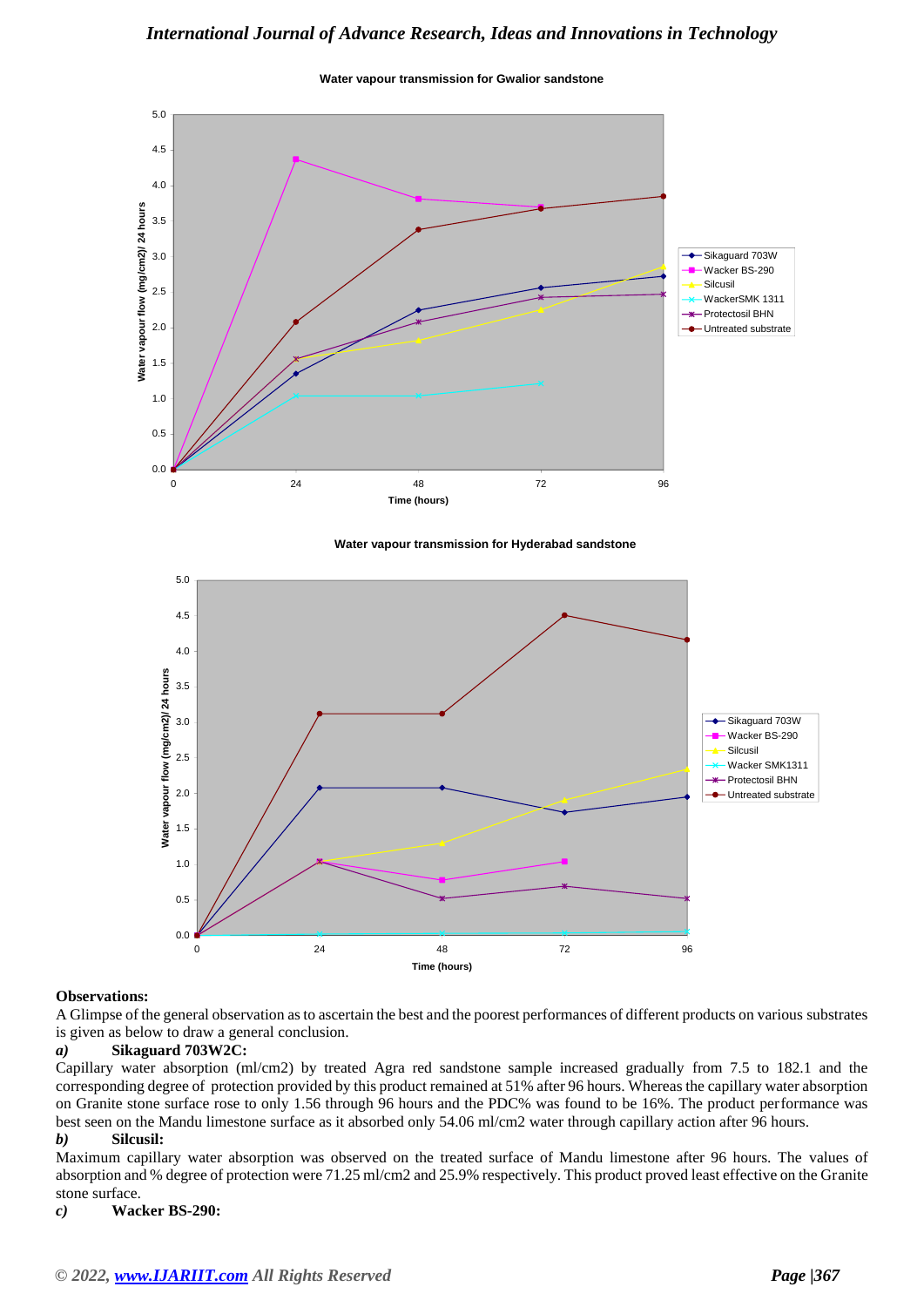**Water vapour transmission for Gwalior sandstone**



#### **Water vapour transmission for Hyderabad sandstone**



#### **Observations:**

A Glimpse of the general observation as to ascertain the best and the poorest performances of different products on various substrates is given as below to draw a general conclusion.

#### *a)* **Sikaguard 703W2C:**

Capillary water absorption (ml/cm2) by treated Agra red sandstone sample increased gradually from 7.5 to 182.1 and the corresponding degree of protection provided by this product remained at 51% after 96 hours. Whereas the capillary water absorption on Granite stone surface rose to only 1.56 through 96 hours and the PDC% was found to be 16%. The product performance was best seen on the Mandu limestone surface as it absorbed only 54.06 ml/cm2 water through capillary action after 96 hours.

#### *b)* **Silcusil:**

Maximum capillary water absorption was observed on the treated surface of Mandu limestone after 96 hours. The values of absorption and % degree of protection were 71.25 ml/cm2 and 25.9% respectively. This product proved least effective on the Granite stone surface.

#### *c)* **Wacker BS-290:**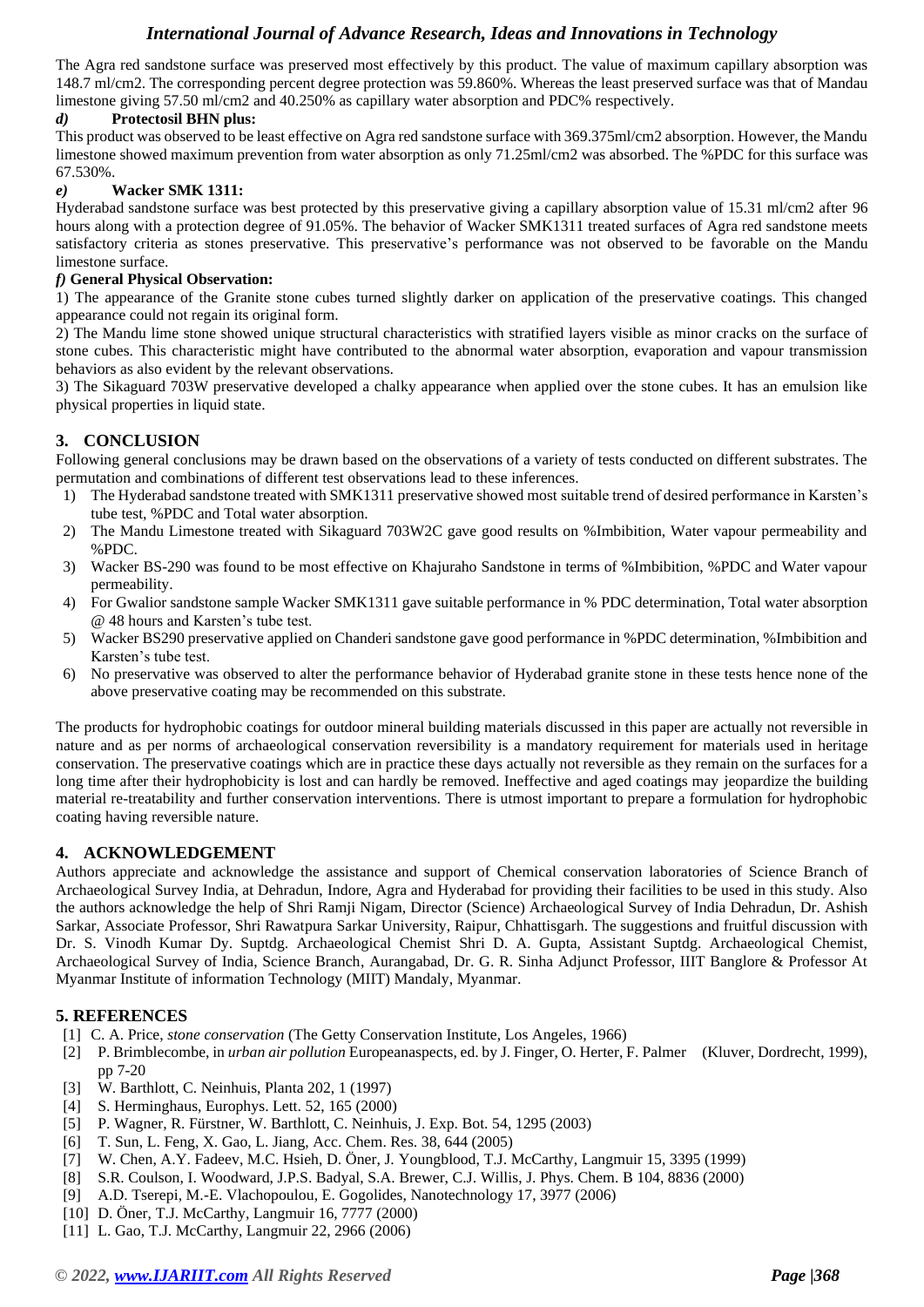The Agra red sandstone surface was preserved most effectively by this product. The value of maximum capillary absorption was 148.7 ml/cm2. The corresponding percent degree protection was 59.860%. Whereas the least preserved surface was that of Mandau limestone giving 57.50 ml/cm2 and 40.250% as capillary water absorption and PDC% respectively.

#### *d)* **Protectosil BHN plus:**

This product was observed to be least effective on Agra red sandstone surface with 369.375ml/cm2 absorption. However, the Mandu limestone showed maximum prevention from water absorption as only 71.25ml/cm2 was absorbed. The %PDC for this surface was 67.530%.

#### *e)* **Wacker SMK 1311:**

Hyderabad sandstone surface was best protected by this preservative giving a capillary absorption value of 15.31 ml/cm2 after 96 hours along with a protection degree of 91.05%. The behavior of Wacker SMK1311 treated surfaces of Agra red sandstone meets satisfactory criteria as stones preservative. This preservative's performance was not observed to be favorable on the Mandu limestone surface.

#### *f)* **General Physical Observation:**

1) The appearance of the Granite stone cubes turned slightly darker on application of the preservative coatings. This changed appearance could not regain its original form.

2) The Mandu lime stone showed unique structural characteristics with stratified layers visible as minor cracks on the surface of stone cubes. This characteristic might have contributed to the abnormal water absorption, evaporation and vapour transmission behaviors as also evident by the relevant observations.

3) The Sikaguard 703W preservative developed a chalky appearance when applied over the stone cubes. It has an emulsion like physical properties in liquid state.

## **3. CONCLUSION**

Following general conclusions may be drawn based on the observations of a variety of tests conducted on different substrates. The permutation and combinations of different test observations lead to these inferences.

- 1) The Hyderabad sandstone treated with SMK1311 preservative showed most suitable trend of desired performance in Karsten's tube test, %PDC and Total water absorption.
- 2) The Mandu Limestone treated with Sikaguard 703W2C gave good results on %Imbibition, Water vapour permeability and %PDC.
- 3) Wacker BS-290 was found to be most effective on Khajuraho Sandstone in terms of %Imbibition, %PDC and Water vapour permeability.
- 4) For Gwalior sandstone sample Wacker SMK1311 gave suitable performance in % PDC determination, Total water absorption @ 48 hours and Karsten's tube test.
- 5) Wacker BS290 preservative applied on Chanderi sandstone gave good performance in %PDC determination, %Imbibition and Karsten's tube test.
- 6) No preservative was observed to alter the performance behavior of Hyderabad granite stone in these tests hence none of the above preservative coating may be recommended on this substrate.

The products for hydrophobic coatings for outdoor mineral building materials discussed in this paper are actually not reversible in nature and as per norms of archaeological conservation reversibility is a mandatory requirement for materials used in heritage conservation. The preservative coatings which are in practice these days actually not reversible as they remain on the surfaces for a long time after their hydrophobicity is lost and can hardly be removed. Ineffective and aged coatings may jeopardize the building material re-treatability and further conservation interventions. There is utmost important to prepare a formulation for hydrophobic coating having reversible nature.

#### **4. ACKNOWLEDGEMENT**

Authors appreciate and acknowledge the assistance and support of Chemical conservation laboratories of Science Branch of Archaeological Survey India, at Dehradun, Indore, Agra and Hyderabad for providing their facilities to be used in this study. Also the authors acknowledge the help of Shri Ramji Nigam, Director (Science) Archaeological Survey of India Dehradun, Dr. Ashish Sarkar, Associate Professor, Shri Rawatpura Sarkar University, Raipur, Chhattisgarh. The suggestions and fruitful discussion with Dr. S. Vinodh Kumar Dy. Suptdg. Archaeological Chemist Shri D. A. Gupta, Assistant Suptdg. Archaeological Chemist, Archaeological Survey of India, Science Branch, Aurangabad, Dr. G. R. Sinha Adjunct Professor, IIIT Banglore & Professor At Myanmar Institute of information Technology (MIIT) Mandaly, Myanmar.

#### **5. REFERENCES**

- [1] C. A. Price, *stone conservation* (The Getty Conservation Institute, Los Angeles, 1966)
- [2] P. Brimblecombe, in *urban air pollution* Europeanaspects, ed. by J. Finger, O. Herter, F. Palmer (Kluver, Dordrecht, 1999), pp 7-20
- [3] W. Barthlott, C. Neinhuis, Planta 202, 1 (1997)
- [4] S. Herminghaus, Europhys. Lett. 52, 165 (2000)
- [5] P. Wagner, R. Fürstner, W. Barthlott, C. Neinhuis, J. Exp. Bot. 54, 1295 (2003)
- [6] T. Sun, L. Feng, X. Gao, L. Jiang, Acc. Chem. Res. 38, 644 (2005)
- [7] W. Chen, A.Y. Fadeev, M.C. Hsieh, D. Öner, J. Youngblood, T.J. McCarthy, Langmuir 15, 3395 (1999)
- [8] S.R. Coulson, I. Woodward, J.P.S. Badyal, S.A. Brewer, C.J. Willis, J. Phys. Chem. B 104, 8836 (2000)
- [9] A.D. Tserepi, M.-E. Vlachopoulou, E. Gogolides, Nanotechnology 17, 3977 (2006)
- [10] D. Öner, T.J. McCarthy, Langmuir 16, 7777 (2000)
- [11] L. Gao, T.J. McCarthy, Langmuir 22, 2966 (2006)